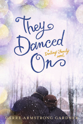They of the day of the day of the day of the day of the day of the day of the day of the day of the day of the day of the day of the day of the day of the day of the day of the day of the day of the day of the day of the d

CARRE ARMSTRONG GARDNER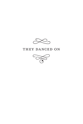

# THEY DANCED ON

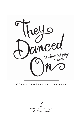

### carre armstrong gardner

*Tyndale House Publishers, Inc. Carol Stream, Illinois*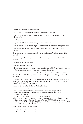Visit Tyndale online at www.tyndale.com.

Visit Carre Armstrong Gardner's website at www.carregardner.com.

*TYNDALE* and Tyndale's quill logo are registered trademarks of Tyndale House Publishers, Inc.

*They Danced On*

Copyright © 2016 by Carre Armstrong Gardner. All rights reserved.

Cover photograph of couple copyright © Jovana Rikalo/Stocksy.com. All rights reserved.

Cover photograph of house copyright © Brian McEntire/Stocksy.com. All rights reserved.

Cover photograph of snow copyright © Stalman & Boniecka/Stocksy.com. All rights reserved.

Author photograph taken by Tanya Miller Photography, copyright © 2013. All rights reserved.

Designed by Jennifer Ghionzoli

Edited by Sarah Mason Rische

Published in association with literary agent Blair Jacobson of D.C. Jacobson & Associates LLC, an Author Management Company. www.dcjacobson.com.

Scripture taken from the Holy Bible, *New International Version*, ® *NIV*. ® Copyright © 1973, 1978, 1984, 2011 by Biblica, Inc.® Used by permission. All rights reserved worldwide.

*They Danced On* is a work of fiction. Where real people, events, establishments, organizations, or locales appear, they are used fictitiously. All other elements of the novel are drawn from the author's imagination.

#### **Library of Congress Cataloging-in-Publication Data**

Names: Gardner, Carre Armstrong, author. Title: They danced on : a Darling family novel / Carre Armstrong Gardner. Description: Carol Stream, Illinois : Tyndale House Publishers, Inc., [2016] | Series: The Darlings Identifiers: LCCN 2016000706 | ISBN 9781414388168 (sc) Subjects: LCSH: Families—Maine—Fiction. | Amyotrophic Lateral Sclerosis—Fiction. | Recovering addicts—Fiction. | Domestic fiction. | GSAFD: Christian fiction. Classification: LCC PS3607.A7267 T54 2016 | DDC 813/.6—dc23 LC record available at http://lccn.loc.gov/2016000706

Printed in the United States of America

22 21 20 19 18 17 16 7 6 5 4 3 2 1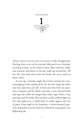

THERE WERE FEW BETTER PLEASURES in life, thought Jane Darling, than to sit on the screened side porch on a Saturday morning in June, in the white wicker chair, with her coffee and oatmeal, and listen to the day wake up around her. All her life, Jane had risen with the birds; she never used an alarm clock.

A year ago, Leander might have been joining her now, rummaging in the cupboard for his favorite mug, the white one that said *Aetna, for life*. It had come free from an insurance company, and he liked it because it was tall and thick and kept his coffee hot longer than other cups. Now, it was just Jane and the birds. She watched a male cardinal light on the crab apple tree, a small slash of scarlet against the riot of pink. From high in the branches, a white-throated sparrow unspooled its sweet-and-sour thread of song against the lightening sky.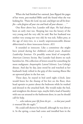When she had finished her oatmeal, Jane flipped the pages of her worn, pen-marked Bible until she found what she was looking for. *"Praise the Lord, my soul, and forget not all his benefits—who forgives all your sins and heals all your diseases . . ."*

One floor above her, Leander still slept. He had always been an early riser too. Sleeping late was the luxury of the very young and the very old, he said. But her husband was neither very young nor very old; he was sick. Fallen prey, at the age of sixty-two, to a nearly unpronounceable disease abbreviated to three innocuous letters: *ALS*.

It sounded so innocent. Like a committee she might have joined during her children's school years: *Academic Leadership Seminar*. Or possibly some kind of nonprofit: *American Literary Society*. But Leander had drawn no such harmless lot. His collection of letters stood for something far more malignant: *Amyotrophic Lateral Sclerosis*. Lou Gehrig's disease. And day by day, Jane stood by and watched as her husband's body wilted in the grip of this wasting illness like an uprooted plant in the hot sun.

These days, he stayed in bed until eight o'clock. Jane would listen for the thump of his feet on the floor, then head upstairs to putter about the bedroom while he washed and dressed in the attached bath. She would make the bed, and straighten the dresser tops, maybe fold a load of laundry with one ear attuned to the bathroom door, in case he should call for help.

*". . . who redeems your life from the pit . . . so that your youth is renewed like the eagle's."*

He could still shower by himself, although he was slow at it. In the spring, a man had come and installed bars in the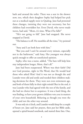bath and around the toilet. There was a seat in the shower now, too, which their daughter Sephy had helped her pick out at a medical supply store in Quahog. Jane had protested these changes, insisting they were not necessary, but her children had overridden her. Even David, who never made waves, had said, "Mom, it's time. What if he falls?"

"He's not going to fall," Jane had snapped. She never snapped at David.

"His balance is off. He stumbles all the time," Ivy pointed out.

"Amy and I are both here with him."

"But you and I can't be around every minute, especially not in the bathroom," said Amy. Her youngest was always quick enough to offer an unsolicited opinion.

Sephy, who was a nurse, added, "The bars will help him stay independent longer, Mom, that's all."

Jane had been exasperated. Where was their faith? Did not God promise, right in His Word, that He would heal those who asked Him? And it was not as though she and Leander were old and senile and needed their children making decisions for them. They were not even retirement age, and both of them fully in their right minds! But in the end, it was Leander who had agreed with the rest of the family, and she had no choice but to acquiesce. It was a hard thing, she was finding, to have your grown children veto you in matters of your own household. Behaving as though you were the child, and not the other way around.

It was only six o'clock, and Leander would sleep for a couple of hours yet. Jane said her prayers, then put her Bible aside, opened a spiral-bound notebook, and started three lists. One,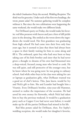she titled *Graduation Party*; the second, *Wedding Reception*. The third was for groceries. Under each of the first two headings, she wrote *potato salad*. No summer gathering would be complete without it. But since the two celebrations were happening the same weekend, she would make two different kinds.

For DeShaun's party on Friday, she would make his favorite: red bliss potatoes with bacon and just a hint of dill pickle juice in the dressing. She smiled as she wrote down the ingredients she would need. Her first grandson was graduating from high school! He had come into their lives only four years ago, but it seemed to Jane that there had always been a space in their family waiting for him to come along and fill it. The awkward, quiet boy who had once been so busy taking care of his little brother and sister that he had never given a thought to dreams of his own had blossomed into a deep-voiced, focused young man who loved to cook. He was still quiet, and still protective of the younger ones, but he knew where he was going now: he was going to culinary school. And while other boys in his class were asking for cars or laptops as graduation gifts, what DeShaun wanted was a good set of chef's knives. This, Jane knew, would be Ivy and Nick's gift to him. She and Leander had bought him a Vitamix. Even DeShaun's brother, nine-year-old Hammer, seemed to realize the importance of the occasion. He had saved his own money for fireworks, which Nick had taken him to buy the previous weekend. It would be a graduation party such as Copper Cove had never seen before; it would make up for all the parties DeShaun had missed in his life.

Red bliss potato salad for DeShaun, then. For Sephy's wedding reception, she would make her daughter's favorite,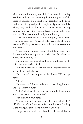with buttermilk dressing and dill. There would be no big wedding, only a quiet ceremony before the justice of the peace on Saturday and a small picnic reception in the backyard before Sephy and Justice caught a flight for Namibia. There, they would each work in a clinic: she, vaccinating children, and he, vetting goats and cattle and any other creatures the African community might lead his way.

*Cake*, she wrote under each heading. Ivy would make DeShaun's cake. Sephy's had already been ordered from a bakery in Quahog. *Settlers' beans* went in DeShaun's column. For Sephy's—

A loud thump sounded from overhead. Jane froze. It was the sound of something much heavier than Leander's feet hitting the floor. *Oh, God—*

She dropped the notebook and pencil and bolted for the stairs, every nerve electrified.

Leander, in his white T-shirt and flannel pajama pants, lay on the floor beside the bed.

"Oh, honey!" She dropped to her knees. "What happened?"

"I fell."

"I can see that." Instinctively, she groped along his arms and legs. "Are you hurt?"

"I don't think so. I got up to go to the bathroom and just . . . tripped over my own feet."

"You didn't hit your head?"

"No. My arm will be black and blue, but I think that's all." With an effort, Leander shifted onto his back. Looking at the ceiling, he said, "Help me sit up, will you?"

She put an arm under his shoulders. He was all bones,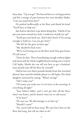these days. "Up you go!" She heaved him to a sitting position and felt a twinge of pain between her own shoulder blades. "Can you stand from here?"

He pushed ineffectually at the floor and shook his head. "You'll have to help me."

Jane had no idea how to go about doing that. "Maybe if you put your arms around my neck, I could sort of pull you up?"

"You'll put your back out. And I don't know if I'm strong enough to hold on. Can you get Amy?"

"She left for the gym an hour ago."

"She should be back soon."

"We're not leaving you on the floor until Amy gets home. I'll call rescue."

"Don't do that. This is humiliating enough without lights and sirens and the whole neighborhood coming out to watch. Call Sephy. Maybe she can tell you how to get a hundredsixty-pound man off the floor by yourself."

Had he lost over thirty pounds already from this wretched disease? Jane used the bedside phone to call Sephy. Her third daughter answered by saying, "What's wrong?"

"Did I wake you?"

"Of course you woke me; it's six forty in the morning. Is everything all right?"

"Your father's fallen, and I can't get him off the floor. Amy's not home, and he doesn't want me to call rescue."

"Is he hurt?"

"He says not. We did manage to sit him up."

"Should I come?"

"No, you're half an hour away. We can't leave him on the floor that long. Just tell me what to do."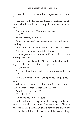"Okay. Put me on speakerphone so you have both hands free."

Jane obeyed. Following her daughter's instructions, she stood behind Leander and wrapped her arms around his chest.

"Lift with your legs, Mom, not your back!"

"I am!"

To her surprise, it worked.

"Got your balance?" Jane asked, when her husband was standing.

"Yep. I'm okay." The tremor in his voice belied his words. "He's up," she called toward the phone.

"Should you just run over to UrgiCare, Dad? Make sure nothing's broken?"

Leander managed a smile. "Nothing's broken but my dignity. I'd rather pretend this never happened."

"If you're sure . . ."

"I'm sure. Thank you, Sephy. I hope you can go back to sleep."

"No, I'll stay up. I have packing to do. I'm glad you're okay."

When their daughter had hung up, Leander reminded Jane, "I never did make it into the bathroom."

"You feel steady enough?"

"I'm all right."

"I'll follow you, just to be sure."

In the bathroom, the ugly metal bars along the toilet and bathtub gleamed smugly at her. Jane looked away. The man who had installed them had drilled holes in the plaster and tile of her beautiful walls. He had secured the bars with huge,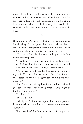heavy bolts and some kind of cement. They were a permanent part of the structure now. Even when the day came that they were no longer needed, when Leander was better and the man came back to take the bars away, the scars they left would always be there. You would never get rid of holes like those.

### $\mathcal{S}$

The morning of DeShaun's graduation dawned cool, with a fine, drizzling rain. "It figures," Ivy said to Nick, over breakfast. "We made arrangements for an outdoor party, with no contingency plan, and now it's going to rain all day."

"It'll clear up" was her husband's unhelpful reply from behind his newspaper.

"It had better." Ivy, who was eating from a take-out container of leftover linguine with clam sauce, pointed the fork at Nick. "It had just *better* clear up, or we're in trouble."

"Do you have to eat fish and garlic this early in the morning?" said Nick, over his own sensible breakfast of wholewheat toast and scrambled egg whites. "It stinks the whole house up."

"Sorry," she said, twirling linguine around her fork with great concentration. "But seriously, what are we going to do if it doesn't stop raining?"

"It will stop."

"But if it doesn't?"

Nick sighed. "If it doesn't stop, we'll move the party indoors somewhere. I don't know . . . the community arts center, maybe."

"There's an idea! But Amy might say no. She might con-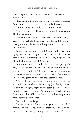sider it nepotism to let her nephew use her arts center for a private party."

"This isn't business or politics, so does it matter? Besides, Amy doesn't own the arts center; she only directs it."

"Or the church. We could have it at the church."

"Stop worrying, Ivy. The rain will be over by graduation. The forecast says so."

Nick and the weather forecast turned out to be right, as usual. By ten o'clock, the rain had subsided, and the sun was rapidly warming the wet world to greenhouse levels of heat and humidity.

"*Wow*, it turned hot," Ivy said. She was in her bedroom, trying to tame her daughter's thick, frizzy hair into two French braids, something she was never very adept at, even when the humidity wasn't 80 percent.

"You don't know how to do black hair, that's *your* problem," she was informed by Jada, who was thirteen and thought everyone had a problem. "If you'd just let me get cornrows, you wouldn't have to go through this every day. Cornrows are amazing: you get them once and they last for *months*."

"Do you know how much cornrows cost?" Ivy finished one braid with an elastic and, moving Jada bodily a quarter turn to the right, began on the second. "Besides, where would you get them done? You're the only black girl in a thirty-mile radius. What hairdresser around here is going to know how to do cornrows?"

"We could go to Bangor."

"*Or* we could just French braid your hair every day." Ivy finished the second, very creditable braid, and gave it a tweak. "You look lovely. Now go put your dress on."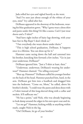Jada rolled her eyes and sighed heavily as she went.

"And I've seen just about enough of the whites of your eyes, miss!" Ivy called after her.

DeShaun appeared in the doorway of the bedroom, wearing his blue graduation gown. "Why I gotta wear a dress shirt and pants under this thing? It's like a sauna. Can't I just wear shorts and a T-shirt?"

"And have eight inches of hairy legs showing, with your bare feet in flip-flops? I don't think so."

"I bet everybody else wears shorts under theirs."

"This is high school graduation, DeShaun. It happens once in a lifetime. You can dress up for it."

Hammer came racing down the hall and careened into his brother, knocking him forward a few inches. "Go in just your underwear, DeShaun!"

DeShaun ignored him. "Just a T-shirt at least, then."

"Underwear, underwear, DeShaun's wearing his underwear!" Hammer chanted. "I'm telling everyone!"

"Shut up, Hammer!" DeShaun cuffed his younger brother on the back of the head. Hammer punched him, hard, in the arm. DeShaun got him into a headlock and dragged him into the bedroom. "Come on, Mom," he called, above his brother's shrieks. "I could wear the pants and dress shoes with a T-shirt instead of this long-sleeved thing with a collar and necktie. It'll suffocate me."

"He has a point," said Nick, who was already beginning to look damp around the edges in his own sport coat and tie.

"Let me go!" Hammer, kicking wildly at anything within reach, caught Nick in the leg.

"Ow! DeShaun, let go of your brother."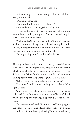DeShaun let go of Hammer and gave him a push backward, into the hall.

"DeShaun pushed me!"

"Come on, just let me wear the T-shirt."

Hammer let out a piercing yell of indignation.

Ivy put her fingertips to her temples. "All right. You can wear a T-shirt under your gown. But the same rule applies today as for church: no stains—"

"No holes," DeShaun finished for her. "I know." He made for his bedroom to change out of the offending dress shirt and tie, pulling Hammer into another headlock as he went, and dragging him, screaming, down the hall.

"Oh, my aching head," said Ivy to her husband.

## $\bigcirc$

The high school auditorium was already crowded when they arrived. Ivy's youngest sister, Amy, and her best friend, Mitch, were already there, saving a row of seats. Ivy gave a little wave to Nick's family, across the aisle, and sat down, fanning herself with the paper program. "It is *hot* in here."

"Tell me about it. Hottest day of the year, so far."

"I'm thirsty," said Hammer, pulling at Ivy's sleeve. "Can I get a drink?"

"You know where the drinking fountain is—but come right back!" she finished in the direction of her son's head, which, bobbing and weaving, disappeared at once into the crowd.

Her parents arrived, with Grammie Lydia Darling, eightyfive years old but looking fifteen years younger in a mintgreen dress. "So, our boy's graduating!" She bent to kiss Ivy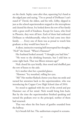on the cheek. Sephy came after that, squeezing Ivy's hand as she edged past and saying, "I'm so proud of DeShaun I can't stand it!" David, the oldest, and his wife, Libby, slipped in just as the school superintendent stepped to the microphone and cleared his throat. Ivy looked down the row of her family with a great swell of fondness. Except for Laura, who lived in Phoenix, they were all here. Each of them had embraced DeShaun so wholeheartedly, when he had come into their family. . . . Every one of them was as proud to watch him graduate as they would have been if—

A silent, instinctive warning bell interrupted her thoughts. *"Nick!"* she hissed. "Where's Hammer?"

Her husband looked around. "I thought you had him."

"He went to the drinking fountain, but I told him to come right back. That was fifteen minutes ago!"

Nick closed his eyes briefly, then stood and shuffled past the row of knees to the aisle.

Ivy's mother shot her a puzzled glance.

*"Hammer,"* Ivy mouthed, rolling her eyes.

"Ah!" Her mother flashed a better-you-than-me smile and turned her attention back to the superintendent, who was introducing the Copper Cove High School class of 2016.

Ivy stood to applaud with the rest of the crowd and put Hammer out of her mind. Nick would bring him back. But by the time the superintendent finished speaking and turned the podium over to the principal, neither of them had returned.

That was when the first burst of gunfire sounded from the hallway.

Ivy's breath left her. The auditorium erupted in screams.